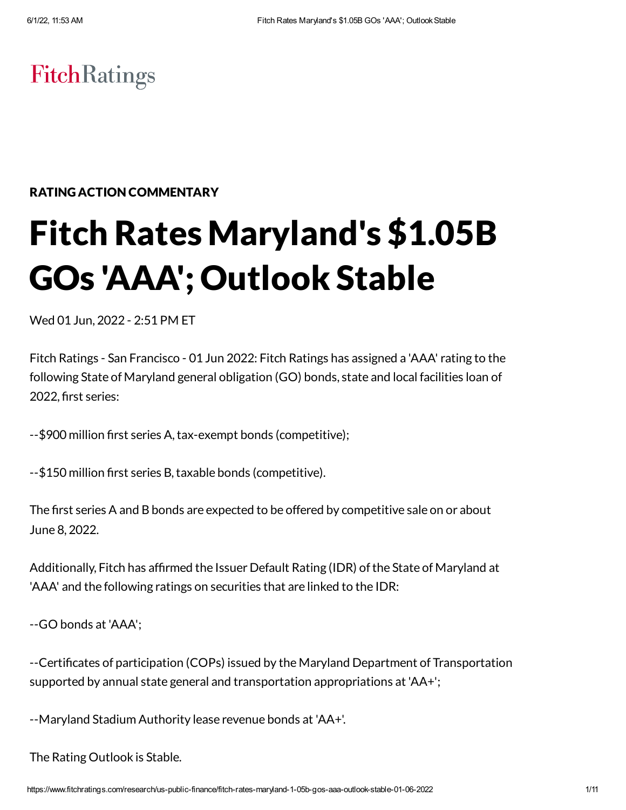## **FitchRatings**

## RATING ACTION COMMENTARY

# Fitch Rates Maryland's \$1.05B GOs 'AAA'; Outlook Stable

Wed 01 Jun, 2022 - 2:51 PM ET

Fitch Ratings - San Francisco - 01 Jun 2022: Fitch Ratings has assigned a 'AAA' rating to the following State of Maryland general obligation (GO) bonds, state and local facilities loan of 2022, first series:

--\$900 million first series A, tax-exempt bonds (competitive);

--\$150 million first series B,taxable bonds (competitive).

The first series A and B bonds are expected to be offered by competitive sale on or about June 8, 2022.

Additionally, Fitch has affirmed the Issuer Default Rating (IDR) of the State of Maryland at 'AAA' and the following ratings on securities that are linked to the IDR:

--GO bonds at 'AAA';

--Certificates of participation (COPs) issued by the Maryland Department of Transportation supported by annual state general and transportation appropriations at 'AA+';

--Maryland Stadium Authority lease revenue bonds at 'AA+'.

The Rating Outlook is Stable.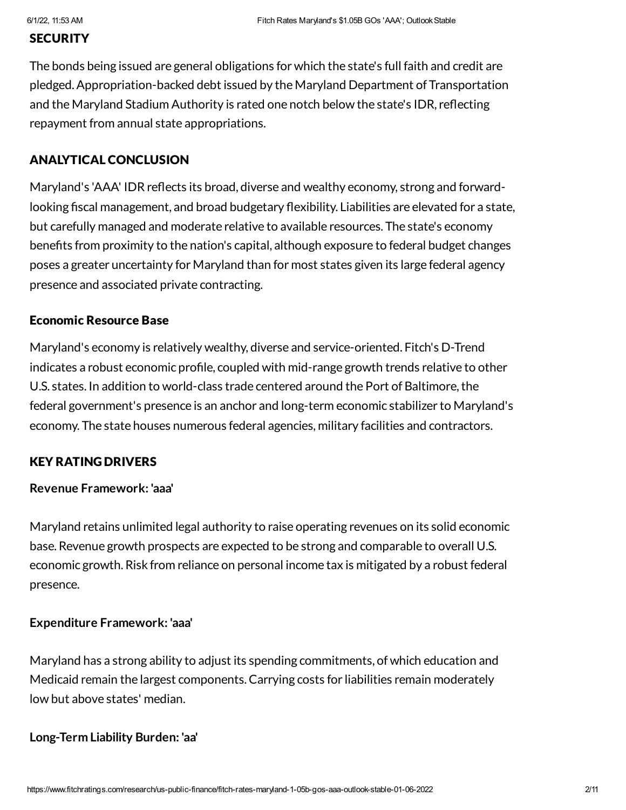## **SECURITY**

The bonds being issued are general obligations for which the state's full faith and credit are pledged.Appropriation-backed debt issued by the Maryland Department of Transportation and the Maryland Stadium Authority is rated one notch below the state's IDR, reflecting repayment from annual state appropriations.

## ANALYTICAL CONCLUSION

Maryland's 'AAA' IDR reflects its broad, diverse and wealthy economy, strong and forwardlooking fiscal management, and broad budgetary flexibility. Liabilities are elevated for a state, but carefully managed and moderate relative to available resources. The state's economy benefits from proximity to the nation's capital, although exposure to federal budget changes poses a greater uncertainty for Maryland than for most states given its large federal agency presence and associated private contracting.

## Economic Resource Base

Maryland's economy is relatively wealthy, diverse and service-oriented. Fitch's D-Trend indicates a robust economic profile, coupled with mid-range growth trends relative to other U.S. states. In addition to world-class trade centered around the Port of Baltimore, the federal government's presence is an anchor and long-term economic stabilizer to Maryland's economy. The state houses numerous federal agencies, military facilities and contractors.

## KEY RATING DRIVERS

## **Revenue Framework: 'aaa'**

Maryland retains unlimited legal authority to raise operating revenues on its solid economic base. Revenue growth prospects are expected to be strong and comparable to overall U.S. economic growth. Risk from reliance on personal income tax is mitigated by a robust federal presence.

## **Expenditure Framework: 'aaa'**

Maryland has a strong ability to adjust its spending commitments, of which education and Medicaid remain the largest components.Carrying costs for liabilities remain moderately low but above states' median.

## **Long-Term Liability Burden: 'aa'**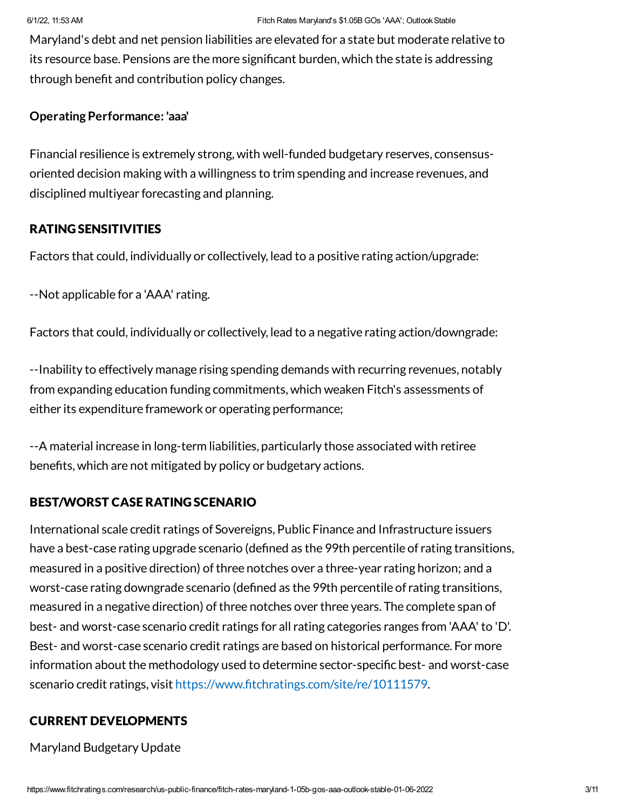Maryland's debt and net pension liabilities are elevated for a state but moderate relative to its resource base. Pensions are the more significant burden, which the state is addressing through benefit and contribution policy changes.

## **Operating Performance: 'aaa'**

Financial resilience is extremely strong, with well-funded budgetary reserves, consensusoriented decision making with a willingness to trim spending and increase revenues, and disciplined multiyear forecasting and planning.

## RATING SENSITIVITIES

Factors that could, individually or collectively, lead to a positive rating action/upgrade:

--Not applicable for a 'AAA' rating.

Factors that could, individually or collectively, lead to a negative rating action/downgrade:

--Inability to effectively manage rising spending demands with recurring revenues, notably from expanding education funding commitments, which weaken Fitch's assessments of either its expenditure framework or operating performance;

--A material increase in long-term liabilities, particularly those associated with retiree benefits, which are not mitigated by policy or budgetary actions.

## BEST/WORST CASE RATING SCENARIO

International scale credit ratings of Sovereigns, Public Finance and Infrastructure issuers have a best-case rating upgrade scenario (defined as the 99th percentile of rating transitions, measured in a positive direction) of three notches over a three-year rating horizon; and a worst-case rating downgrade scenario (defined as the 99th percentile of rating transitions, measured in a negative direction) of three notches over three years. The complete span of best- and worst-case scenario credit ratings for all rating categories ranges from 'AAA' to 'D'. Best- and worst-case scenario credit ratings are based on historical performance. For more information about the methodology used to determine sector-specific best- and worst-case scenario credit ratings, visit <https://www.fitchratings.com/site/re/10111579>.

## CURRENT DEVELOPMENTS

Maryland Budgetary Update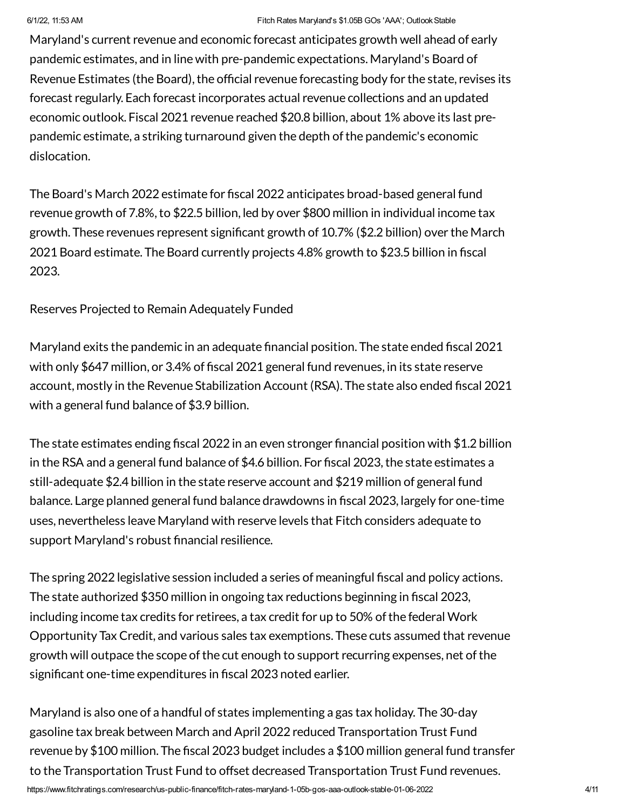Maryland's current revenue and economic forecast anticipates growth well ahead of early pandemic estimates, and in line with pre-pandemic expectations. Maryland's Board of Revenue Estimates (the Board), the official revenue forecasting body for the state, revises its forecast regularly. Each forecast incorporates actual revenue collections and an updated economic outlook. Fiscal 2021 revenue reached \$20.8 billion, about 1% above its last prepandemic estimate, a striking turnaround given the depth ofthe pandemic's economic dislocation.

The Board's March 2022 estimate for fiscal 2022 anticipates broad-based general fund revenue growth of 7.8%, to \$22.5 billion, led by over \$800 million in individual income tax growth. These revenues represent significant growth of 10.7% (\$2.2 billion) over the March 2021 Board estimate. The Board currently projects 4.8% growth to \$23.5 billion in fiscal 2023.

Reserves Projected to Remain Adequately Funded

Maryland exits the pandemic in an adequate financial position. The state ended fiscal 2021 with only \$647 million, or 3.4% of fiscal 2021 general fund revenues, in its state reserve account, mostly in the Revenue Stabilization Account (RSA). The state also ended fiscal 2021 with a general fund balance of \$3.9 billion.

The state estimates ending fiscal 2022 in an even stronger financial position with \$1.2 billion in the RSA and a general fund balance of \$4.6 billion. For fiscal 2023, the state estimates a still-adequate \$2.4 billion in the state reserve account and \$219 million of general fund balance. Large planned general fund balance drawdowns in fiscal 2023, largely for one-time uses, nevertheless leave Maryland with reserve levels that Fitch considers adequate to support Maryland's robust financial resilience.

The spring 2022 legislative session included a series of meaningful fiscal and policy actions. The state authorized \$350 million in ongoing tax reductions beginning in fiscal 2023, including income tax credits for retirees, a tax credit for up to 50% of the federal Work Opportunity Tax Credit, and various sales tax exemptions. These cuts assumed that revenue growth will outpace the scope of the cut enough to support recurring expenses, net of the significant one-time expenditures in fiscal 2023 noted earlier.

Maryland is also one of a handful of states implementing a gas tax holiday. The 30-day gasoline tax break between March and April 2022 reduced Transportation Trust Fund revenue by \$100 million. The fiscal 2023 budget includes a \$100 million general fund transfer to the Transportation Trust Fund to offset decreased Transportation Trust Fund revenues.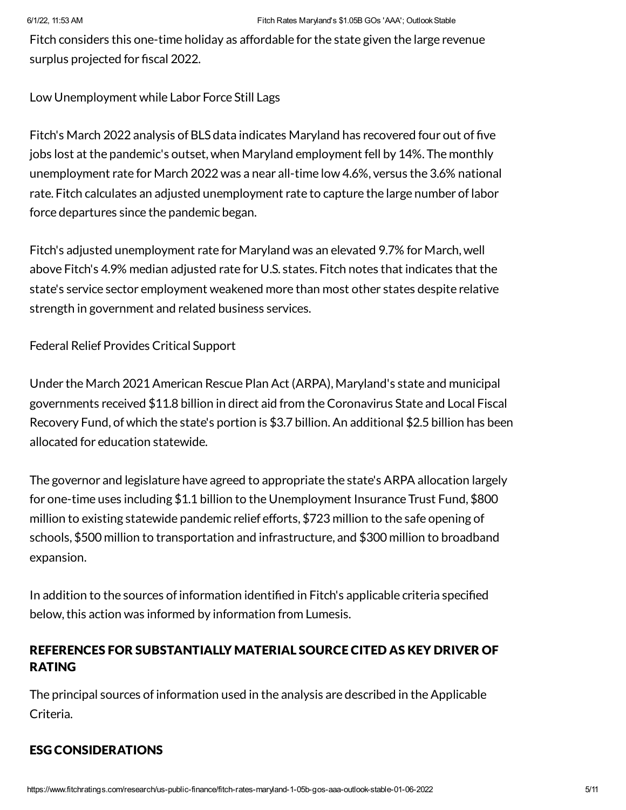Fitch considers this one-time holiday as affordable for the state given the large revenue surplus projected for fiscal 2022.

## Low Unemployment while Labor Force Still Lags

Fitch's March 2022 analysis of BLS data indicates Maryland has recovered four out of five jobs lost at the pandemic's outset, when Maryland employment fell by 14%. The monthly unemployment rate for March 2022 was a near all-time low 4.6%, versus the 3.6% national rate. Fitch calculates an adjusted unemployment rate to capture the large number oflabor force departures since the pandemic began.

Fitch's adjusted unemployment rate for Maryland was an elevated 9.7% for March, well above Fitch's 4.9% median adjusted rate for U.S. states. Fitch notes that indicates that the state's service sector employment weakened more than most other states despite relative strength in government and related business services.

## Federal Relief Provides Critical Support

Under the March 2021American Rescue Plan Act (ARPA), Maryland's state and municipal governments received \$11.8 billion in direct aid from theCoronavirus State and Local Fiscal Recovery Fund, of which the state's portion is \$3.7 billion.An additional \$2.5 billion has been allocated for education statewide.

The governor and legislature have agreed to appropriate the state's ARPA allocation largely for one-time uses including \$1.1 billion to the Unemployment Insurance Trust Fund, \$800 million to existing statewide pandemic relief efforts, \$723 million to the safe opening of schools, \$500 million to transportation and infrastructure, and \$300 million to broadband expansion.

In addition to the sources of information identified in Fitch's applicable criteria specified below, this action was informed by information from Lumesis.

## REFERENCES FOR SUBSTANTIALLY MATERIAL SOURCE CITED AS KEY DRIVER OF RATING

The principal sources of information used in the analysis are described in the Applicable Criteria.

## ESG CONSIDERATIONS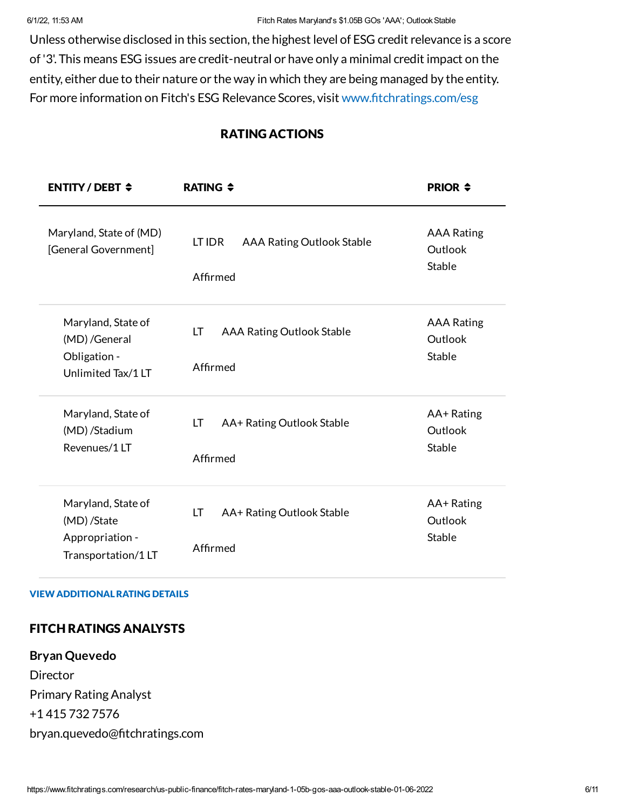#### 6/1/22, 11:53 AM **Fitch Rates Maryland's \$1.05B GOs 'AAA'**; Outlook Stable

Unless otherwise disclosed in this section, the highest level of ESG credit relevance is a score of'3'. This means ESG issues are credit-neutral or have only a minimal credit impact on the entity, either due to their nature or the way in which they are being managed by the entity. For more information on Fitch's ESG Relevance Scores, visit [www.fitchratings.com/esg](http://www.fitchratings.com/esg)

## RATING ACTIONS

| <b>ENTITY / DEBT ≑</b>                                                     | RATING $\div$                                          | <b>PRIOR <math>\div</math></b>                |
|----------------------------------------------------------------------------|--------------------------------------------------------|-----------------------------------------------|
| Maryland, State of (MD)<br>[General Government]                            | LT IDR<br><b>AAA Rating Outlook Stable</b><br>Affirmed | <b>AAA Rating</b><br>Outlook<br><b>Stable</b> |
| Maryland, State of<br>(MD) /General<br>Obligation -<br>Unlimited Tax/1 LT  | LT<br><b>AAA Rating Outlook Stable</b><br>Affirmed     | <b>AAA Rating</b><br>Outlook<br>Stable        |
| Maryland, State of<br>(MD) /Stadium<br>Revenues/1LT                        | LT<br>AA+ Rating Outlook Stable<br>Affirmed            | AA+ Rating<br>Outlook<br><b>Stable</b>        |
| Maryland, State of<br>(MD) /State<br>Appropriation -<br>Transportation/1LT | LT<br>AA+ Rating Outlook Stable<br>Affirmed            | AA+ Rating<br>Outlook<br>Stable               |

#### VIEW ADDITIONALRATING DETAILS

## FITCH RATINGS ANALYSTS

### **Bryan Quevedo**

**Director** Primary Rating Analyst +1 415 732 7576 bryan.quevedo@fitchratings.com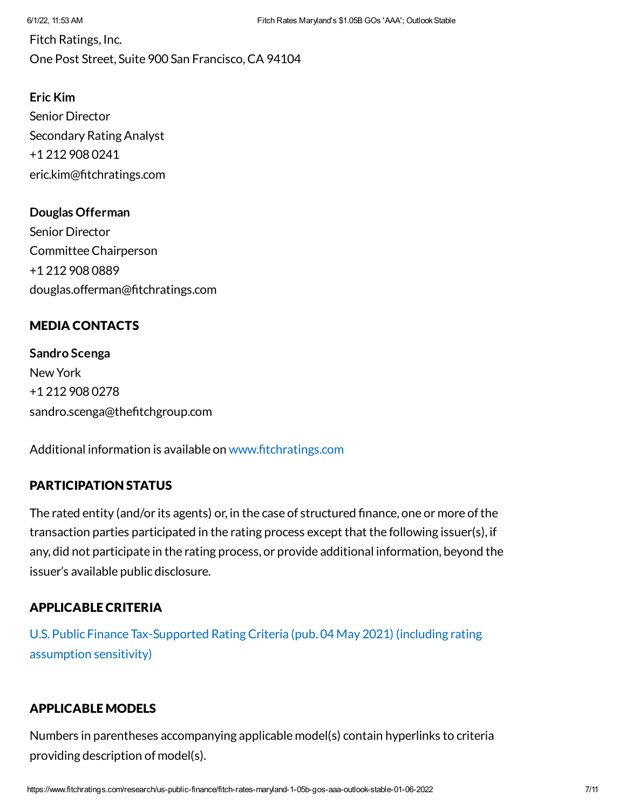Fitch Ratings, Inc. One Post Street, Suite 900 San Francisco,CA 94104

**Eric Kim** Senior Director Secondary Rating Analyst +1 212 908 0241 eric.kim@fitchratings.com

**Douglas Offerman** Senior Director CommitteeChairperson +1 212 908 0889 douglas.offerman@fitchratings.com

## MEDIA CONTACTS

**Sandro Scenga** New York +1 212 908 0278 sandro.scenga@thefitchgroup.com

Additional information is available on [www.fitchratings.com](http://www.fitchratings.com/)

## PARTICIPATION STATUS

The rated entity (and/or its agents) or, in the case of structured finance, one or more of the transaction parties participated in the rating process except that the following issuer(s), if any, did not participate in the rating process, or provide additional information, beyond the issuer's available public disclosure.

## APPLICABLE CRITERIA

U.S. Public Finance [Tax-Supported](https://www.fitchratings.com/research/us-public-finance/us-public-finance-tax-supported-rating-criteria-04-05-2021) Rating Criteria (pub. 04 May 2021) (including rating assumption sensitivity)

## APPLICABLE MODELS

Numbers in parentheses accompanying applicable model(s) contain hyperlinks to criteria providing description of model(s).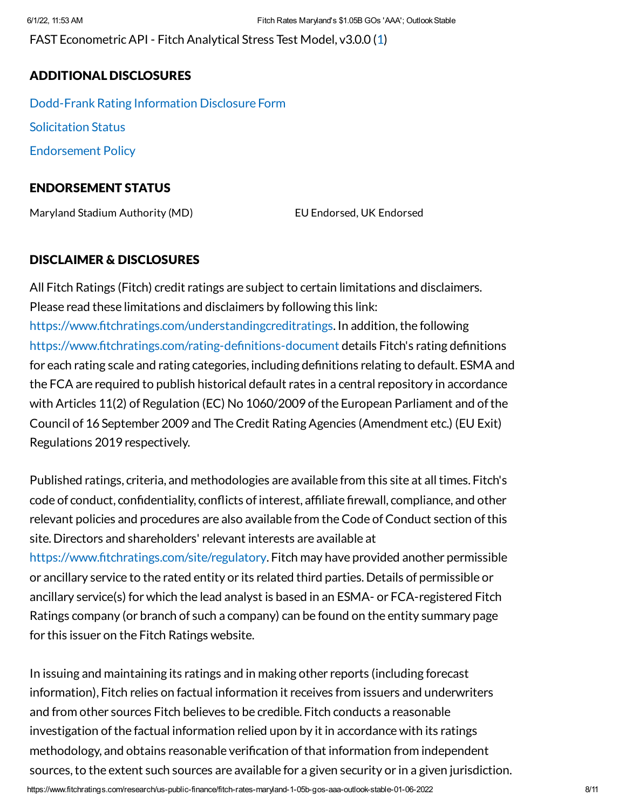FAST EconometricAPI - Fitch Analytical Stress Test Model, v3.0.0 ([1\)](https://www.fitchratings.com/research/us-public-finance/us-public-finance-tax-supported-rating-criteria-04-05-2021)

## ADDITIONAL DISCLOSURES

[Dodd-Frank](https://www.fitchratings.com/research/us-public-finance/fitch-rates-maryland-1-05b-gos-aaa-outlook-stable-01-06-2022/dodd-frank-disclosure) Rating Information Disclosure Form Solicitation Status [Endorsement](#page-10-0) Policy

## ENDORSEMENT STATUS

Maryland Stadium Authority (MD) EU Endorsed, UK Endorsed

## DISCLAIMER & DISCLOSURES

All Fitch Ratings (Fitch) credit ratings are subject to certain limitations and disclaimers. Please read these limitations and disclaimers by following this link: [https://www.fitchratings.com/understandingcreditratings](https://www.fitchratings.com/UNDERSTANDINGCREDITRATINGS). In addition, the following [https://www.fitchratings.com/rating-definitions-document](https://www.fitchratings.com/RATING-DEFINITIONS-DOCUMENT) details Fitch's rating definitions for each rating scale and rating categories, including definitions relating to default. ESMA and the FCA are required to publish historical default rates in a central repository in accordance with Articles 11(2) of Regulation (EC) No 1060/2009 of the European Parliament and of the Council of 16 September 2009 and TheCredit Rating Agencies (Amendment etc.) (EU Exit) Regulations 2019 respectively.

Published ratings, criteria, and methodologies are available from this site at all times. Fitch's code of conduct, confidentiality, conflicts of interest, affiliate firewall, compliance, and other relevant policies and procedures are also available from the Code of Conduct section of this site. Directors and shareholders' relevant interests are available at [https://www.fitchratings.com/site/regulatory.](https://www.fitchratings.com/SITE/REGULATORY) Fitch may have provided another permissible or ancillary service to the rated entity or its related third parties. Details of permissible or ancillary service(s) for which the lead analyst is based in an ESMA- or FCA-registered Fitch Ratings company (or branch of such a company) can be found on the entity summary page for this issuer on the Fitch Ratings website.

In issuing and maintaining its ratings and in making other reports (including forecast information), Fitch relies on factual information it receives from issuers and underwriters and from other sources Fitch believes to be credible. Fitch conducts a reasonable investigation of the factual information relied upon by it in accordance with its ratings methodology, and obtains reasonable verification ofthat information from independent sources, to the extent such sources are available for a given security or in a given jurisdiction.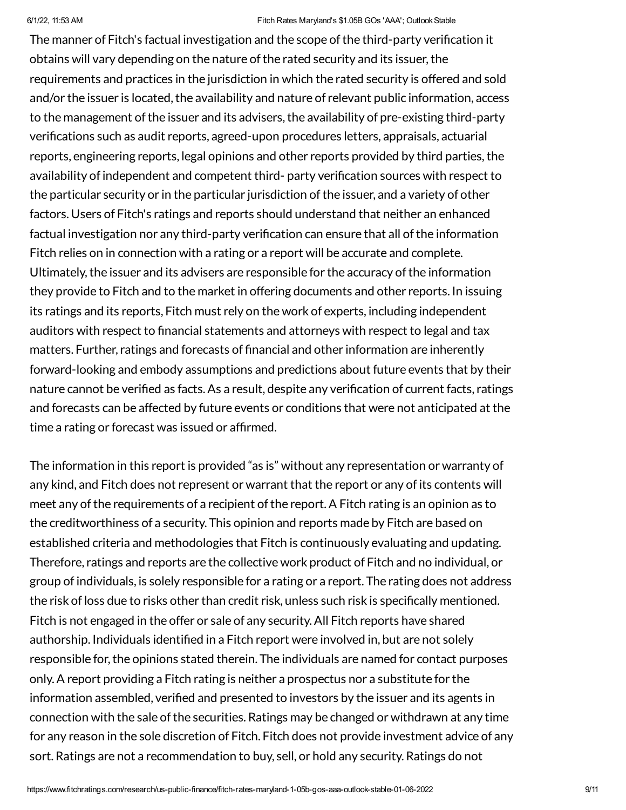The manner of Fitch's factual investigation and the scope of the third-party verification it obtains will vary depending on the nature of the rated security and its issuer, the requirements and practices in the jurisdiction in which the rated security is offered and sold and/or the issuer is located, the availability and nature of relevant public information, access to the management of the issuer and its advisers, the availability of pre-existing third-party verifications such as audit reports, agreed-upon procedures letters, appraisals, actuarial reports, engineering reports, legal opinions and other reports provided by third parties, the availability of independent and competent third- party verification sources with respect to the particular security or in the particular jurisdiction ofthe issuer, and a variety of other factors. Users of Fitch's ratings and reports should understand that neither an enhanced factual investigation nor any third-party verification can ensure that all of the information Fitch relies on in connection with a rating or a report will be accurate and complete. Ultimately, the issuer and its advisers are responsible for the accuracy of the information they provide to Fitch and to the market in offering documents and other reports. In issuing its ratings and its reports, Fitch must rely on the work of experts, including independent auditors with respect to financial statements and attorneys with respect to legal and tax matters. Further, ratings and forecasts of financial and other information are inherently forward-looking and embody assumptions and predictions about future events that by their nature cannot be verified as facts. As a result, despite any verification of current facts, ratings and forecasts can be affected by future events or conditions that were not anticipated at the time a rating or forecast was issued or affirmed.

The information in this report is provided "as is" without any representation or warranty of any kind, and Fitch does not represent or warrant that the report or any of its contents will meet any of the requirements of a recipient of the report. A Fitch rating is an opinion as to the creditworthiness of a security. This opinion and reports made by Fitch are based on established criteria and methodologies that Fitch is continuously evaluating and updating. Therefore, ratings and reports are the collective work product of Fitch and no individual, or group of individuals, is solely responsible for a rating or a report. The rating does not address the risk of loss due to risks other than credit risk, unless such risk is specifically mentioned. Fitch is not engaged in the offer or sale of any security.All Fitch reports have shared authorship. Individuals identified in a Fitch report were involved in, but are not solely responsible for, the opinions stated therein. The individuals are named for contact purposes only.A report providing a Fitch rating is neither a prospectus nor a substitute for the information assembled, verified and presented to investors by the issuer and its agents in connection with the sale of the securities. Ratings may be changed or withdrawn at any time for any reason in the sole discretion of Fitch. Fitch does not provide investment advice of any sort. Ratings are not a recommendation to buy, sell, or hold any security. Ratings do not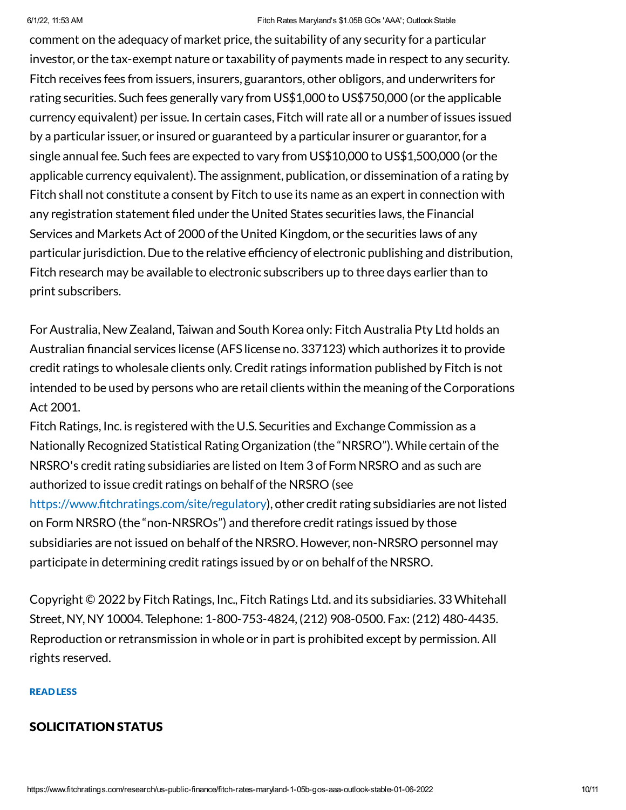comment on the adequacy of market price, the suitability of any security for a particular investor, or the tax-exempt nature or taxability of payments made in respect to any security. Fitch receives fees from issuers, insurers, guarantors, other obligors, and underwriters for rating securities. Such fees generally vary from US\$1,000 to US\$750,000 (or the applicable currency equivalent) per issue. In certain cases, Fitch will rate all or a number of issues issued by a particular issuer, or insured or guaranteed by a particular insurer or guarantor,for a single annual fee. Such fees are expected to vary from US\$10,000 to US\$1,500,000 (or the applicable currency equivalent). The assignment, publication, or dissemination of a rating by Fitch shall not constitute a consent by Fitch to use its name as an expert in connection with any registration statement filed under the United States securities laws, the Financial Services and Markets Act of 2000 of the United Kingdom, or the securities laws of any particular jurisdiction. Due to the relative efficiency of electronic publishing and distribution, Fitch research may be available to electronic subscribers up to three days earlier than to print subscribers.

ForAustralia, New Zealand, Taiwan and South Korea only: Fitch Australia Pty Ltd holds an Australian financial services license (AFS license no. 337123) which authorizes it to provide credit ratings to wholesale clients only.Credit ratings information published by Fitch is not intended to be used by persons who are retail clients within the meaning of the Corporations Act 2001.

Fitch Ratings, Inc. is registered with the U.S. Securities and Exchange Commission as a Nationally Recognized Statistical Rating Organization (the "NRSRO").While certain ofthe NRSRO's credit rating subsidiaries are listed on Item 3 of Form NRSRO and as such are authorized to issue credit ratings on behalf of the NRSRO (see [https://www.fitchratings.com/site/regulatory\)](https://www.fitchratings.com/site/regulatory), other credit rating subsidiaries are not listed on Form NRSRO (the "non-NRSROs") and therefore credit ratings issued by those subsidiaries are not issued on behalf of the NRSRO. However, non-NRSRO personnel may participate in determining credit ratings issued by or on behalf ofthe NRSRO.

Copyright © 2022 by Fitch Ratings, Inc., Fitch Ratings Ltd. and its subsidiaries. 33 Whitehall Street, NY, NY 10004. Telephone: 1-800-753-4824, (212) 908-0500. Fax: (212) 480-4435. Reproduction or retransmission in whole or in part is prohibited except by permission.All rights reserved.

## READ LESS

## SOLICITATION STATUS